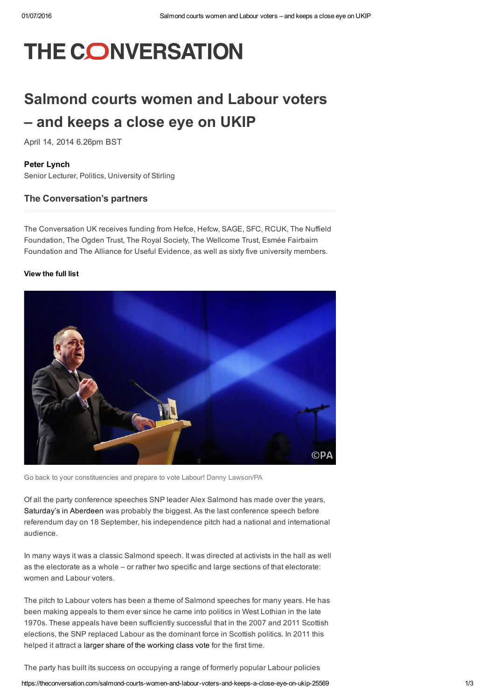# **THE CONVERSATION**

# Salmond courts women and Labour voters – and keeps a close eye on UKIP

April 14, 2014 6.26pm BST

#### Peter [Lynch](https://theconversation.com/profiles/peter-lynch-122999)

Senior Lecturer, Politics, University of Stirling

#### The Conversation's partners

The Conversation UK receives funding from Hefce, Hefcw, SAGE, SFC, RCUK, The Nuffield Foundation, The Ogden Trust, The Royal Society, The Wellcome Trust, Esmée Fairbairn Foundation and The Alliance for Useful Evidence, as well as sixty five university members.

#### [View](https://theconversation.com/uk/partners) the full list



Go back to your constituencies and prepare to vote Labour! Danny [Lawson/PA](http://images.pressassociation.com/meta/2.19550629.html)

Of all the party conference speeches SNP leader Alex Salmond has made over the years, [Saturday's](http://www.snp.org/media-centre/news/2014/apr/first-minister-alex-salmond-snp-conference-address) in Aberdeen was probably the biggest. As the last conference speech before referendum day on 18 September, his independence pitch had a national and international audience.

In many ways it was a classic Salmond speech. It was directed at activists in the hall as well as the electorate as a whole – or rather two specific and large sections of that electorate: women and Labour voters.

The pitch to Labour voters has been a theme of Salmond speeches for many years. He has been making appeals to them ever since he came into politics in West Lothian in the late 1970s. These appeals have been sufficiently successful that in the 2007 and 2011 Scottish elections, the SNP replaced Labour as the dominant force in Scottish politics. In 2011 this helped it attract a larger share of the [working](http://www.socialismtoday.org/163/scotland.html) class vote for the first time.

The party has built its success on occupying a range of formerly popular Labour policies

https://theconversation.com/salmond-courts-women-and-labour-voters-and-keeps-a-close-eye-on-ukip-25569 1/3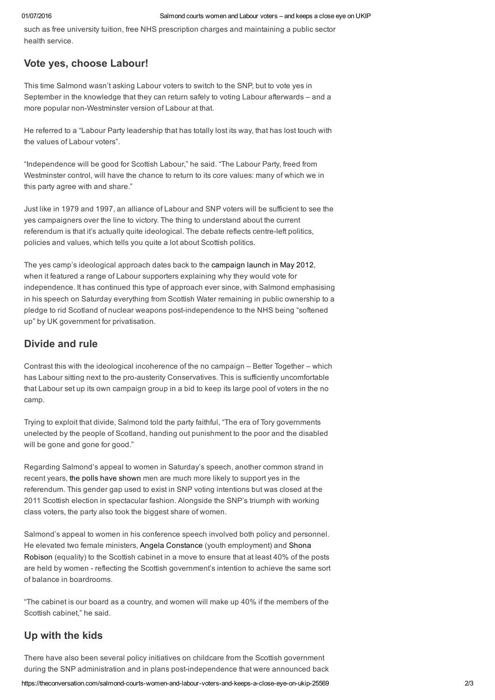such as free university tuition, free NHS prescription charges and maintaining a public sector health service.

## Vote yes, choose Labour!

This time Salmond wasn't asking Labour voters to switch to the SNP, but to vote yes in September in the knowledge that they can return safely to voting Labour afterwards – and a more popular non-Westminster version of Labour at that.

He referred to a "Labour Party leadership that has totally lost its way, that has lost touch with the values of Labour voters".

"Independence will be good for Scottish Labour," he said. "The Labour Party, freed from Westminster control, will have the chance to return to its core values: many of which we in this party agree with and share."

Just like in 1979 and 1997, an alliance of Labour and SNP voters will be sufficient to see the yes campaigners over the line to victory. The thing to understand about the current referendum is that it's actually quite ideological. The debate reflects centre-left politics, policies and values, which tells you quite a lot about Scottish politics.

The yes camp's ideological approach dates back to the [campaign](http://www.bbc.co.uk/news/uk-scotland-scotland-politics-18162832) launch in May 2012, when it featured a range of Labour supporters explaining why they would vote for independence. It has continued this type of approach ever since, with Salmond emphasising in his speech on Saturday everything from Scottish Water remaining in public ownership to a pledge to rid Scotland of nuclear weapons postindependence to the NHS being "softened up" by UK government for privatisation.

## Divide and rule

Contrast this with the ideological incoherence of the no campaign – Better Together – which has Labour sitting next to the pro-austerity Conservatives. This is sufficiently uncomfortable that Labour set up its own campaign group in a bid to keep its large pool of voters in the no camp.

Trying to exploit that divide, Salmond told the party faithful, "The era of Tory governments unelected by the people of Scotland, handing out punishment to the poor and the disabled will be gone and gone for good."

Regarding Salmond's appeal to women in Saturday's speech, another common strand in recent years, the polls have [shown](http://blog.whatscotlandthinks.org/2013/06/salmond-the-economy-and-an-uncertain-future-womens-attitudes-to-independence/) men are much more likely to support yes in the referendum. This gender gap used to exist in SNP voting intentions but was closed at the 2011 Scottish election in spectacular fashion. Alongside the SNP's triumph with working class voters, the party also took the biggest share of women.

Salmond's appeal to women in his conference speech involved both policy and personnel. He elevated two female ministers, Angela [Constance](http://www.angelaconstancemsp.org/) (youth [employment\)](http://www.scottish.parliament.uk/msps/currentmsps/Shona-Robison-MSP.aspx) and Shona Robison (equality) to the Scottish cabinet in a move to ensure that at least 40% of the posts are held by women - reflecting the Scottish government's intention to achieve the same sort of balance in boardrooms.

"The cabinet is our board as a country, and women will make up 40% if the members of the Scottish cabinet," he said.

# Up with the kids

There have also been several policy initiatives on childcare from the Scottish government during the SNP administration and in plans postindependence that were announced back